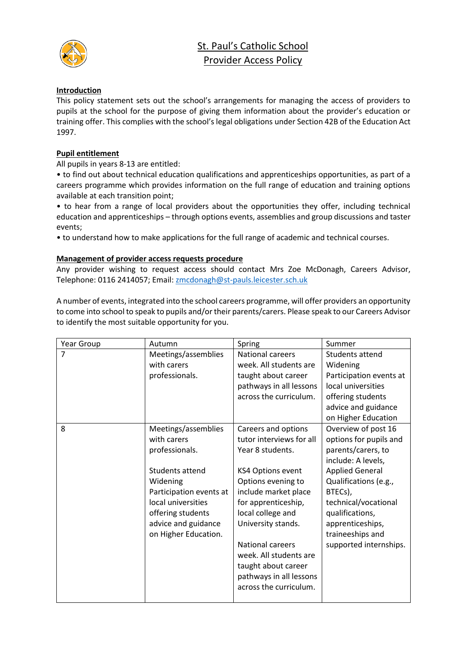

# St. Paul's Catholic School Provider Access Policy

## **Introduction**

This policy statement sets out the school's arrangements for managing the access of providers to pupils at the school for the purpose of giving them information about the provider's education or training offer. This complies with the school's legal obligations under Section 42B of the Education Act 1997.

## **Pupil entitlement**

All pupils in years 8-13 are entitled:

• to find out about technical education qualifications and apprenticeships opportunities, as part of a careers programme which provides information on the full range of education and training options available at each transition point;

• to hear from a range of local providers about the opportunities they offer, including technical education and apprenticeships – through options events, assemblies and group discussions and taster events;

• to understand how to make applications for the full range of academic and technical courses.

# **Management of provider access requests procedure**

Any provider wishing to request access should contact Mrs Zoe McDonagh, Careers Advisor, Telephone: 0116 2414057; Email: [zmcdonagh@st-pauls.leicester.sch.uk](mailto:zmcdonagh@st-pauls.leicester.sch.uk)

A number of events, integrated into the school careers programme, will offer providers an opportunity to come into school to speak to pupils and/or their parents/carers. Please speak to our Careers Advisor to identify the most suitable opportunity for you.

| Year Group | Autumn                  | Spring                   | Summer                  |
|------------|-------------------------|--------------------------|-------------------------|
| 7          | Meetings/assemblies     | <b>National careers</b>  | Students attend         |
|            | with carers             | week. All students are   | Widening                |
|            | professionals.          | taught about career      | Participation events at |
|            |                         | pathways in all lessons  | local universities      |
|            |                         | across the curriculum.   | offering students       |
|            |                         |                          | advice and guidance     |
|            |                         |                          | on Higher Education     |
| 8          | Meetings/assemblies     | Careers and options      | Overview of post 16     |
|            | with carers             | tutor interviews for all | options for pupils and  |
|            | professionals.          | Year 8 students.         | parents/carers, to      |
|            |                         |                          | include: A levels,      |
|            | Students attend         | <b>KS4 Options event</b> | <b>Applied General</b>  |
|            | Widening                | Options evening to       | Qualifications (e.g.,   |
|            | Participation events at | include market place     | BTECs),                 |
|            | local universities      | for apprenticeship,      | technical/vocational    |
|            | offering students       | local college and        | qualifications,         |
|            | advice and guidance     | University stands.       | apprenticeships,        |
|            | on Higher Education.    |                          | traineeships and        |
|            |                         | <b>National careers</b>  | supported internships.  |
|            |                         | week. All students are   |                         |
|            |                         | taught about career      |                         |
|            |                         | pathways in all lessons  |                         |
|            |                         | across the curriculum.   |                         |
|            |                         |                          |                         |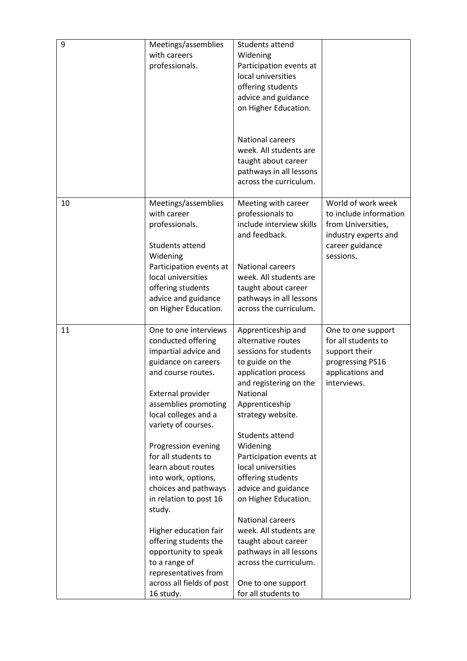| 9  | Meetings/assemblies<br>with careers<br>professionals.                                                                                                                                                                                                                                                                                                                                                                                                                                                                            | Students attend<br>Widening<br>Participation events at<br>local universities<br>offering students<br>advice and guidance<br>on Higher Education.<br><b>National careers</b><br>week. All students are<br>taught about career<br>pathways in all lessons<br>across the curriculum.                                                                                                                                                                                                                                          |                                                                                                                            |
|----|----------------------------------------------------------------------------------------------------------------------------------------------------------------------------------------------------------------------------------------------------------------------------------------------------------------------------------------------------------------------------------------------------------------------------------------------------------------------------------------------------------------------------------|----------------------------------------------------------------------------------------------------------------------------------------------------------------------------------------------------------------------------------------------------------------------------------------------------------------------------------------------------------------------------------------------------------------------------------------------------------------------------------------------------------------------------|----------------------------------------------------------------------------------------------------------------------------|
| 10 | Meetings/assemblies<br>with career<br>professionals.<br>Students attend<br>Widening<br>Participation events at<br>local universities<br>offering students<br>advice and guidance<br>on Higher Education.                                                                                                                                                                                                                                                                                                                         | Meeting with career<br>professionals to<br>include interview skills<br>and feedback.<br><b>National careers</b><br>week. All students are<br>taught about career<br>pathways in all lessons<br>across the curriculum.                                                                                                                                                                                                                                                                                                      | World of work week<br>to include information<br>from Universities,<br>industry experts and<br>career guidance<br>sessions. |
| 11 | One to one interviews<br>conducted offering<br>impartial advice and<br>guidance on careers<br>and course routes.<br>External provider<br>assemblies promoting<br>local colleges and a<br>variety of courses.<br>Progression evening<br>for all students to<br>learn about routes<br>into work, options,<br>choices and pathways<br>in relation to post 16<br>study.<br>Higher education fair<br>offering students the<br>opportunity to speak<br>to a range of<br>representatives from<br>across all fields of post<br>16 study. | Apprenticeship and<br>alternative routes<br>sessions for students<br>to guide on the<br>application process<br>and registering on the<br>National<br>Apprenticeship<br>strategy website.<br>Students attend<br>Widening<br>Participation events at<br>local universities<br>offering students<br>advice and guidance<br>on Higher Education.<br><b>National careers</b><br>week. All students are<br>taught about career<br>pathways in all lessons<br>across the curriculum.<br>One to one support<br>for all students to | One to one support<br>for all students to<br>support their<br>progressing PS16<br>applications and<br>interviews.          |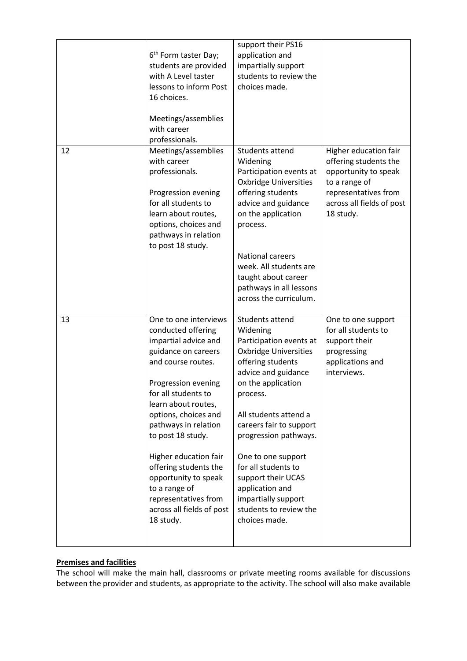|    | 6 <sup>th</sup> Form taster Day;<br>students are provided<br>with A Level taster<br>lessons to inform Post<br>16 choices.<br>Meetings/assemblies<br>with career<br>professionals.                                                                                                                                                                                                                                       | support their PS16<br>application and<br>impartially support<br>students to review the<br>choices made.                                                                                                                                                                                                                                                                                                   |                                                                                                                                                           |
|----|-------------------------------------------------------------------------------------------------------------------------------------------------------------------------------------------------------------------------------------------------------------------------------------------------------------------------------------------------------------------------------------------------------------------------|-----------------------------------------------------------------------------------------------------------------------------------------------------------------------------------------------------------------------------------------------------------------------------------------------------------------------------------------------------------------------------------------------------------|-----------------------------------------------------------------------------------------------------------------------------------------------------------|
| 12 | Meetings/assemblies<br>with career<br>professionals.<br>Progression evening<br>for all students to<br>learn about routes,<br>options, choices and<br>pathways in relation<br>to post 18 study.                                                                                                                                                                                                                          | Students attend<br>Widening<br>Participation events at<br><b>Oxbridge Universities</b><br>offering students<br>advice and guidance<br>on the application<br>process.<br><b>National careers</b><br>week. All students are<br>taught about career<br>pathways in all lessons<br>across the curriculum.                                                                                                     | Higher education fair<br>offering students the<br>opportunity to speak<br>to a range of<br>representatives from<br>across all fields of post<br>18 study. |
| 13 | One to one interviews<br>conducted offering<br>impartial advice and<br>guidance on careers<br>and course routes.<br>Progression evening<br>for all students to<br>learn about routes,<br>options, choices and<br>pathways in relation<br>to post 18 study.<br>Higher education fair<br>offering students the<br>opportunity to speak<br>to a range of<br>representatives from<br>across all fields of post<br>18 study. | Students attend<br>Widening<br>Participation events at<br><b>Oxbridge Universities</b><br>offering students<br>advice and guidance<br>on the application<br>process.<br>All students attend a<br>careers fair to support<br>progression pathways.<br>One to one support<br>for all students to<br>support their UCAS<br>application and<br>impartially support<br>students to review the<br>choices made. | One to one support<br>for all students to<br>support their<br>progressing<br>applications and<br>interviews.                                              |

# **Premises and facilities**

The school will make the main hall, classrooms or private meeting rooms available for discussions between the provider and students, as appropriate to the activity. The school will also make available